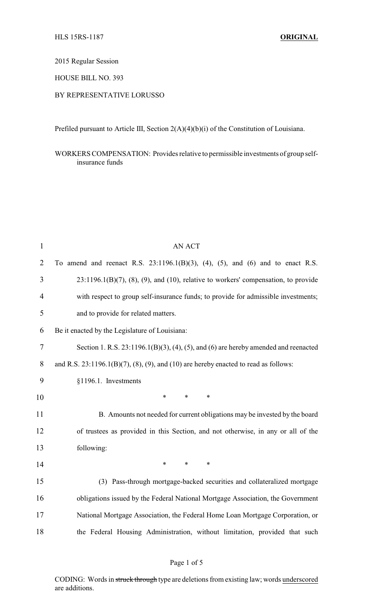2015 Regular Session

HOUSE BILL NO. 393

## BY REPRESENTATIVE LORUSSO

Prefiled pursuant to Article III, Section 2(A)(4)(b)(i) of the Constitution of Louisiana.

WORKERS COMPENSATION: Provides relative to permissible investments of group selfinsurance funds

| $\mathbf{1}$   | <b>AN ACT</b>                                                                                  |  |  |
|----------------|------------------------------------------------------------------------------------------------|--|--|
| $\overline{2}$ | To amend and reenact R.S. $23:1196.1(B)(3)$ , $(4)$ , $(5)$ , and $(6)$ and to enact R.S.      |  |  |
| 3              | $23:1196.1(B)(7)$ , $(8)$ , $(9)$ , and $(10)$ , relative to workers' compensation, to provide |  |  |
| 4              | with respect to group self-insurance funds; to provide for admissible investments;             |  |  |
| 5              | and to provide for related matters.                                                            |  |  |
| 6              | Be it enacted by the Legislature of Louisiana:                                                 |  |  |
| $\overline{7}$ | Section 1. R.S. $23:1196.1(B)(3)$ , $(4)$ , $(5)$ , and $(6)$ are hereby amended and reenacted |  |  |
| 8              | and R.S. $23:1196.1(B)(7)$ , $(8)$ , $(9)$ , and $(10)$ are hereby enacted to read as follows: |  |  |
| 9              | §1196.1. Investments                                                                           |  |  |
| 10             | $\ast$<br>$\ast$<br>$\ast$                                                                     |  |  |
| 11             | B. Amounts not needed for current obligations may be invested by the board                     |  |  |
| 12             | of trustees as provided in this Section, and not otherwise, in any or all of the               |  |  |
| 13             | following:                                                                                     |  |  |
| 14             | $\ast$<br>$\ast$<br>$\ast$                                                                     |  |  |
| 15             | (3) Pass-through mortgage-backed securities and collateralized mortgage                        |  |  |
| 16             | obligations issued by the Federal National Mortgage Association, the Government                |  |  |
| 17             | National Mortgage Association, the Federal Home Loan Mortgage Corporation, or                  |  |  |
| 18             | the Federal Housing Administration, without limitation, provided that such                     |  |  |

## Page 1 of 5

CODING: Words in struck through type are deletions from existing law; words underscored are additions.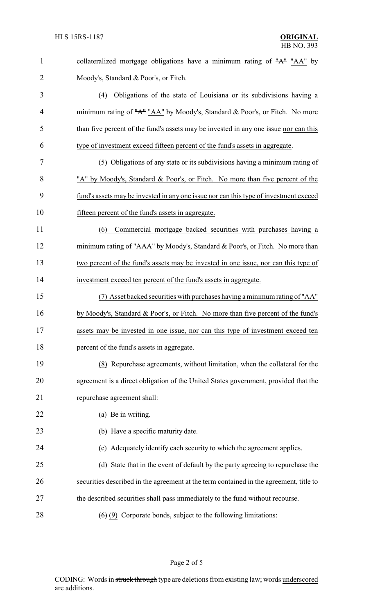1 collateralized mortgage obligations have a minimum rating of "A" "AA" by 2 Moody's, Standard & Poor's, or Fitch.

 (4) Obligations of the state of Louisiana or its subdivisions having a 4 minimum rating of "A" "AA" by Moody's, Standard & Poor's, or Fitch. No more than five percent of the fund's assets may be invested in any one issue nor can this type of investment exceed fifteen percent of the fund's assets in aggregate.

 (5) Obligations of any state or its subdivisions having a minimum rating of "A" by Moody's, Standard & Poor's, or Fitch. No more than five percent of the fund's assets may be invested in any one issue nor can this type of investment exceed fifteen percent of the fund's assets in aggregate.

 (6) Commercial mortgage backed securities with purchases having a 12 minimum rating of "AAA" by Moody's, Standard & Poor's, or Fitch. No more than two percent of the fund's assets may be invested in one issue, nor can this type of investment exceed ten percent of the fund's assets in aggregate.

 (7) Asset backed securities with purchases having aminimum rating of "AA" by Moody's, Standard & Poor's, or Fitch. No more than five percent of the fund's assets may be invested in one issue, nor can this type of investment exceed ten 18 percent of the fund's assets in aggregate.

 (8) Repurchase agreements, without limitation, when the collateral for the agreement is a direct obligation of the United States government, provided that the repurchase agreement shall:

(a) Be in writing.

23 (b) Have a specific maturity date.

(c) Adequately identify each security to which the agreement applies.

 (d) State that in the event of default by the party agreeing to repurchase the securities described in the agreement at the term contained in the agreement, title to the described securities shall pass immediately to the fund without recourse.

28  $(6)(9)$  Corporate bonds, subject to the following limitations: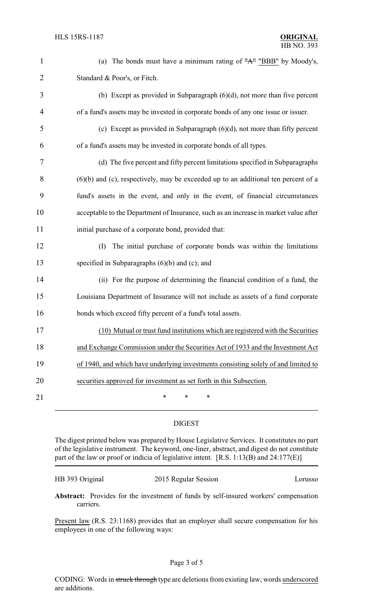| $\mathbf{1}$   | (a) The bonds must have a minimum rating of $H^*$ "BBB" by Moody's,                  |
|----------------|--------------------------------------------------------------------------------------|
| $\overline{2}$ | Standard & Poor's, or Fitch.                                                         |
| 3              | (b) Except as provided in Subparagraph $(6)(d)$ , not more than five percent         |
| 4              | of a fund's assets may be invested in corporate bonds of any one issue or issuer.    |
| 5              | (c) Except as provided in Subparagraph $(6)(d)$ , not more than fifty percent        |
| 6              | of a fund's assets may be invested in corporate bonds of all types.                  |
| 7              | (d) The five percent and fifty percent limitations specified in Subparagraphs        |
| 8              | $(6)(b)$ and (c), respectively, may be exceeded up to an additional ten percent of a |
| 9              | fund's assets in the event, and only in the event, of financial circumstances        |
| 10             | acceptable to the Department of Insurance, such as an increase in market value after |
| 11             | initial purchase of a corporate bond, provided that:                                 |
| 12             | The initial purchase of corporate bonds was within the limitations<br>(I)            |
| 13             | specified in Subparagraphs $(6)(b)$ and $(c)$ ; and                                  |
| 14             | (ii) For the purpose of determining the financial condition of a fund, the           |
| 15             | Louisiana Department of Insurance will not include as assets of a fund corporate     |
| 16             | bonds which exceed fifty percent of a fund's total assets.                           |
| 17             | (10) Mutual or trust fund institutions which are registered with the Securities      |
| 18             | and Exchange Commission under the Securities Act of 1933 and the Investment Act      |
| 19             | of 1940, and which have underlying investments consisting solely of and limited to   |
| 20             | securities approved for investment as set forth in this Subsection.                  |
| 21             | $\ast$<br>*<br>*                                                                     |
|                |                                                                                      |

## DIGEST

The digest printed below was prepared by House Legislative Services. It constitutes no part of the legislative instrument. The keyword, one-liner, abstract, and digest do not constitute part of the law or proof or indicia of legislative intent. [R.S. 1:13(B) and 24:177(E)]

| HB 393 Original | 2015 Regular Session | Lorusso |
|-----------------|----------------------|---------|
|                 |                      |         |

**Abstract:** Provides for the investment of funds by self-insured workers' compensation carriers.

Present law (R.S. 23:1168) provides that an employer shall secure compensation for his employees in one of the following ways: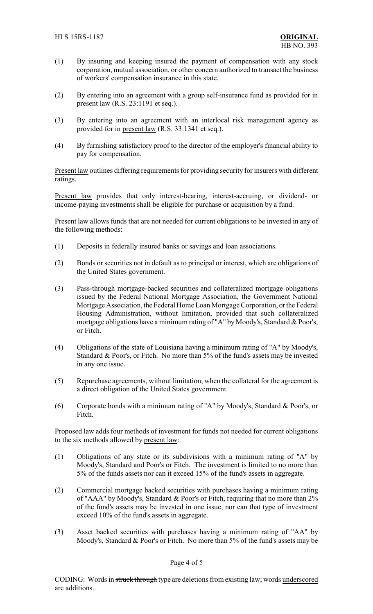- (1) By insuring and keeping insured the payment of compensation with any stock corporation, mutual association, or other concern authorized to transact the business of workers' compensation insurance in this state.
- (2) By entering into an agreement with a group self-insurance fund as provided for in present law (R.S. 23:1191 et seq.).
- (3) By entering into an agreement with an interlocal risk management agency as provided for in present law (R.S. 33:1341 et seq.).
- (4) By furnishing satisfactory proof to the director of the employer's financial ability to pay for compensation.

Present law outlines differing requirements for providing security for insurers with different ratings.

Present law provides that only interest-bearing, interest-accruing, or dividend- or income-paying investments shall be eligible for purchase or acquisition by a fund.

Present law allows funds that are not needed for current obligations to be invested in any of the following methods:

- (1) Deposits in federally insured banks or savings and loan associations.
- (2) Bonds or securities not in default as to principal or interest, which are obligations of the United States government.
- (3) Pass-through mortgage-backed securities and collateralized mortgage obligations issued by the Federal National Mortgage Association, the Government National Mortgage Association, the Federal Home Loan Mortgage Corporation, or the Federal Housing Administration, without limitation, provided that such collateralized mortgage obligations have a minimum rating of "A" by Moody's, Standard & Poor's, or Fitch.
- (4) Obligations of the state of Louisiana having a minimum rating of "A" by Moody's, Standard & Poor's, or Fitch. No more than 5% of the fund's assets may be invested in any one issue.
- (5) Repurchase agreements, without limitation, when the collateral for the agreement is a direct obligation of the United States government.
- (6) Corporate bonds with a minimum rating of "A" by Moody's, Standard & Poor's, or Fitch.

Proposed law adds four methods of investment for funds not needed for current obligations to the six methods allowed by present law:

- (1) Obligations of any state or its subdivisions with a minimum rating of "A" by Moody's, Standard and Poor's or Fitch. The investment is limited to no more than 5% of the funds assets nor can it exceed 15% of the fund's assets in aggregate.
- (2) Commercial mortgage backed securities with purchases having a minimum rating of "AAA" by Moody's, Standard & Poor's or Fitch, requiring that no more than 2% of the fund's assets may be invested in one issue, nor can that type of investment exceed 10% of the fund's assets in aggregate.
- (3) Asset backed securities with purchases having a minimum rating of "AA" by Moody's, Standard & Poor's or Fitch. No more than 5% of the fund's assets may be

## Page 4 of 5